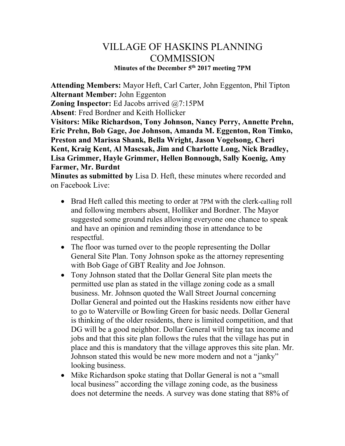## VILLAGE OF HASKINS PLANNING **COMMISSION Minutes of the December 5th 2017 meeting 7PM**

**Attending Members:** Mayor Heft, Carl Carter, John Eggenton, Phil Tipton **Alternant Member:** John Eggenton

**Zoning Inspector:** Ed Jacobs arrived @7:15PM

**Absent**: Fred Bordner and Keith Hollicker

**Visitors: Mike Richardson, Tony Johnson, Nancy Perry, Annette Prehn, Eric Prehn, Bob Gage, Joe Johnson, Amanda M. Eggenton, Ron Timko, Preston and Marissa Shank, Bella Wright, Jason Vogelsong, Cheri Kent, Kraig Kent, Al Mascsak, Jim and Charlotte Long, Nick Bradley, Lisa Grimmer, Hayle Grimmer, Hellen Bonnough, Sally Koenig, Amy Farmer, Mr. Burdnt**

**Minutes as submitted by** Lisa D. Heft, these minutes where recorded and on Facebook Live:

- Brad Heft called this meeting to order at 7PM with the clerk-calling roll and following members absent, Holliker and Bordner. The Mayor suggested some ground rules allowing everyone one chance to speak and have an opinion and reminding those in attendance to be respectful.
- The floor was turned over to the people representing the Dollar General Site Plan. Tony Johnson spoke as the attorney representing with Bob Gage of GBT Reality and Joe Johnson.
- Tony Johnson stated that the Dollar General Site plan meets the permitted use plan as stated in the village zoning code as a small business. Mr. Johnson quoted the Wall Street Journal concerning Dollar General and pointed out the Haskins residents now either have to go to Waterville or Bowling Green for basic needs. Dollar General is thinking of the older residents, there is limited competition, and that DG will be a good neighbor. Dollar General will bring tax income and jobs and that this site plan follows the rules that the village has put in place and this is mandatory that the village approves this site plan. Mr. Johnson stated this would be new more modern and not a "janky" looking business.
- Mike Richardson spoke stating that Dollar General is not a "small" local business" according the village zoning code, as the business does not determine the needs. A survey was done stating that 88% of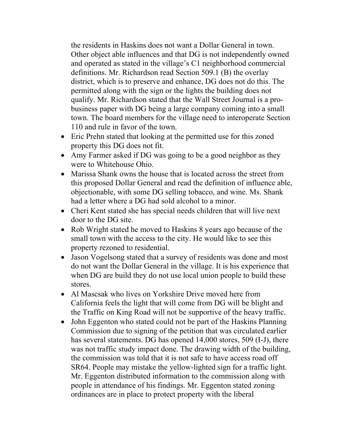the residents in Haskins does not want a Dollar General in town. Other object able influences and that DG is not independently owned and operated as stated in the village's C1 neighborhood commercial definitions. Mr. Richardson read Section 509.1 (B) the overlay district, which is to preserve and enhance, DG does not do this. The permitted along with the sign or the lights the building does not qualify. Mr. Richardson stated that the Wall Street Journal is a probusiness paper with DG being a large company coming into a small town. The board members for the village need to interoperate Section 110 and rule in favor of the town.

- Eric Prehn stated that looking at the permitted use for this zoned property this DG does not fit.
- Amy Farmer asked if DG was going to be a good neighbor as they were to Whitehouse Ohio.
- Marissa Shank owns the house that is located across the street from this proposed Dollar General and read the definition of influence able, objectionable, with some DG selling tobacco, and wine. Ms. Shank had a letter where a DG had sold alcohol to a minor.
- Cheri Kent stated she has special needs children that will live next door to the DG site.
- Rob Wright stated he moved to Haskins 8 years ago because of the small town with the access to the city. He would like to see this property rezoned to residential.
- Jason Vogelsong stated that a survey of residents was done and most do not want the Dollar General in the village. It is his experience that when DG are build they do not use local union people to build these stores.
- Al Mascsak who lives on Yorkshire Drive moved here from California feels the light that will come from DG will be blight and the Traffic on King Road will not be supportive of the heavy traffic.
- John Eggenton who stated could not be part of the Haskins Planning Commission due to signing of the petition that was circulated earlier has several statements. DG has opened 14,000 stores, 509 (I-J), there was not traffic study impact done. The drawing width of the building, the commission was told that it is not safe to have access road off SR64. People may mistake the yellow-lighted sign for a traffic light. Mr. Eggenton distributed information to the commission along with people in attendance of his findings. Mr. Eggenton stated zoning ordinances are in place to protect property with the liberal